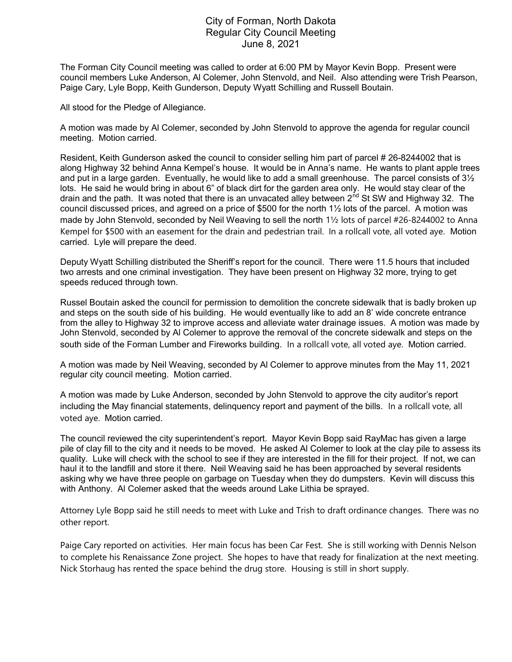## City of Forman, North Dakota Regular City Council Meeting June 8, 2021

The Forman City Council meeting was called to order at 6:00 PM by Mayor Kevin Bopp. Present were council members Luke Anderson, Al Colemer, John Stenvold, and Neil. Also attending were Trish Pearson, Paige Cary, Lyle Bopp, Keith Gunderson, Deputy Wyatt Schilling and Russell Boutain.

All stood for the Pledge of Allegiance.

A motion was made by Al Colemer, seconded by John Stenvold to approve the agenda for regular council meeting. Motion carried.

Resident, Keith Gunderson asked the council to consider selling him part of parcel # 26-8244002 that is along Highway 32 behind Anna Kempel's house. It would be in Anna's name. He wants to plant apple trees and put in a large garden. Eventually, he would like to add a small greenhouse. The parcel consists of  $3\frac{1}{2}$ lots. He said he would bring in about 6" of black dirt for the garden area only. He would stay clear of the drain and the path. It was noted that there is an unvacated alley between  $2^{nd}$  St SW and Highway 32. The council discussed prices, and agreed on a price of \$500 for the north 1½ lots of the parcel. A motion was made by John Stenvold, seconded by Neil Weaving to sell the north 1½ lots of parcel #26-8244002 to Anna Kempel for \$500 with an easement for the drain and pedestrian trail. In a rollcall vote, all voted aye. Motion carried. Lyle will prepare the deed.

Deputy Wyatt Schilling distributed the Sheriff's report for the council. There were 11.5 hours that included two arrests and one criminal investigation. They have been present on Highway 32 more, trying to get speeds reduced through town.

Russel Boutain asked the council for permission to demolition the concrete sidewalk that is badly broken up and steps on the south side of his building. He would eventually like to add an 8' wide concrete entrance from the alley to Highway 32 to improve access and alleviate water drainage issues. A motion was made by John Stenvold, seconded by Al Colemer to approve the removal of the concrete sidewalk and steps on the south side of the Forman Lumber and Fireworks building. In a rollcall vote, all voted aye. Motion carried.

A motion was made by Neil Weaving, seconded by Al Colemer to approve minutes from the May 11, 2021 regular city council meeting. Motion carried.

A motion was made by Luke Anderson, seconded by John Stenvold to approve the city auditor's report including the May financial statements, delinquency report and payment of the bills. In a rollcall vote, all voted aye. Motion carried.

The council reviewed the city superintendent's report. Mayor Kevin Bopp said RayMac has given a large pile of clay fill to the city and it needs to be moved. He asked Al Colemer to look at the clay pile to assess its quality. Luke will check with the school to see if they are interested in the fill for their project. If not, we can haul it to the landfill and store it there. Neil Weaving said he has been approached by several residents asking why we have three people on garbage on Tuesday when they do dumpsters. Kevin will discuss this with Anthony. Al Colemer asked that the weeds around Lake Lithia be sprayed.

Attorney Lyle Bopp said he still needs to meet with Luke and Trish to draft ordinance changes. There was no other report.

Paige Cary reported on activities. Her main focus has been Car Fest. She is still working with Dennis Nelson to complete his Renaissance Zone project. She hopes to have that ready for finalization at the next meeting. Nick Storhaug has rented the space behind the drug store. Housing is still in short supply.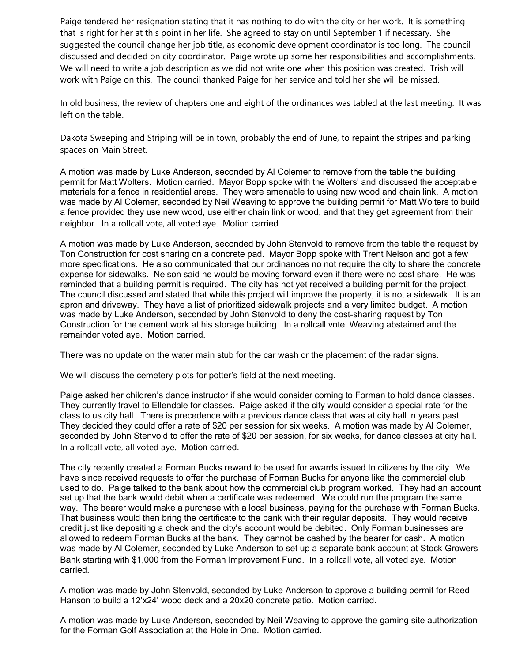Paige tendered her resignation stating that it has nothing to do with the city or her work. It is something that is right for her at this point in her life. She agreed to stay on until September 1 if necessary. She suggested the council change her job title, as economic development coordinator is too long. The council discussed and decided on city coordinator. Paige wrote up some her responsibilities and accomplishments. We will need to write a job description as we did not write one when this position was created. Trish will work with Paige on this. The council thanked Paige for her service and told her she will be missed.

In old business, the review of chapters one and eight of the ordinances was tabled at the last meeting. It was left on the table.

Dakota Sweeping and Striping will be in town, probably the end of June, to repaint the stripes and parking spaces on Main Street.

A motion was made by Luke Anderson, seconded by Al Colemer to remove from the table the building permit for Matt Wolters. Motion carried. Mayor Bopp spoke with the Wolters' and discussed the acceptable materials for a fence in residential areas. They were amenable to using new wood and chain link. A motion was made by Al Colemer, seconded by Neil Weaving to approve the building permit for Matt Wolters to build a fence provided they use new wood, use either chain link or wood, and that they get agreement from their neighbor. In a rollcall vote, all voted aye. Motion carried.

A motion was made by Luke Anderson, seconded by John Stenvold to remove from the table the request by Ton Construction for cost sharing on a concrete pad. Mayor Bopp spoke with Trent Nelson and got a few more specifications. He also communicated that our ordinances no not require the city to share the concrete expense for sidewalks. Nelson said he would be moving forward even if there were no cost share. He was reminded that a building permit is required. The city has not yet received a building permit for the project. The council discussed and stated that while this project will improve the property, it is not a sidewalk. It is an apron and driveway. They have a list of prioritized sidewalk projects and a very limited budget. A motion was made by Luke Anderson, seconded by John Stenvold to deny the cost-sharing request by Ton Construction for the cement work at his storage building. In a rollcall vote, Weaving abstained and the remainder voted aye. Motion carried.

There was no update on the water main stub for the car wash or the placement of the radar signs.

We will discuss the cemetery plots for potter's field at the next meeting.

Paige asked her children's dance instructor if she would consider coming to Forman to hold dance classes. They currently travel to Ellendale for classes. Paige asked if the city would consider a special rate for the class to us city hall. There is precedence with a previous dance class that was at city hall in years past. They decided they could offer a rate of \$20 per session for six weeks. A motion was made by Al Colemer, seconded by John Stenvold to offer the rate of \$20 per session, for six weeks, for dance classes at city hall. In a rollcall vote, all voted aye. Motion carried.

The city recently created a Forman Bucks reward to be used for awards issued to citizens by the city. We have since received requests to offer the purchase of Forman Bucks for anyone like the commercial club used to do. Paige talked to the bank about how the commercial club program worked. They had an account set up that the bank would debit when a certificate was redeemed. We could run the program the same way. The bearer would make a purchase with a local business, paying for the purchase with Forman Bucks. That business would then bring the certificate to the bank with their regular deposits. They would receive credit just like depositing a check and the city's account would be debited. Only Forman businesses are allowed to redeem Forman Bucks at the bank. They cannot be cashed by the bearer for cash. A motion was made by Al Colemer, seconded by Luke Anderson to set up a separate bank account at Stock Growers Bank starting with \$1,000 from the Forman Improvement Fund. In a rollcall vote, all voted aye. Motion carried.

A motion was made by John Stenvold, seconded by Luke Anderson to approve a building permit for Reed Hanson to build a 12'x24' wood deck and a 20x20 concrete patio. Motion carried.

A motion was made by Luke Anderson, seconded by Neil Weaving to approve the gaming site authorization for the Forman Golf Association at the Hole in One. Motion carried.